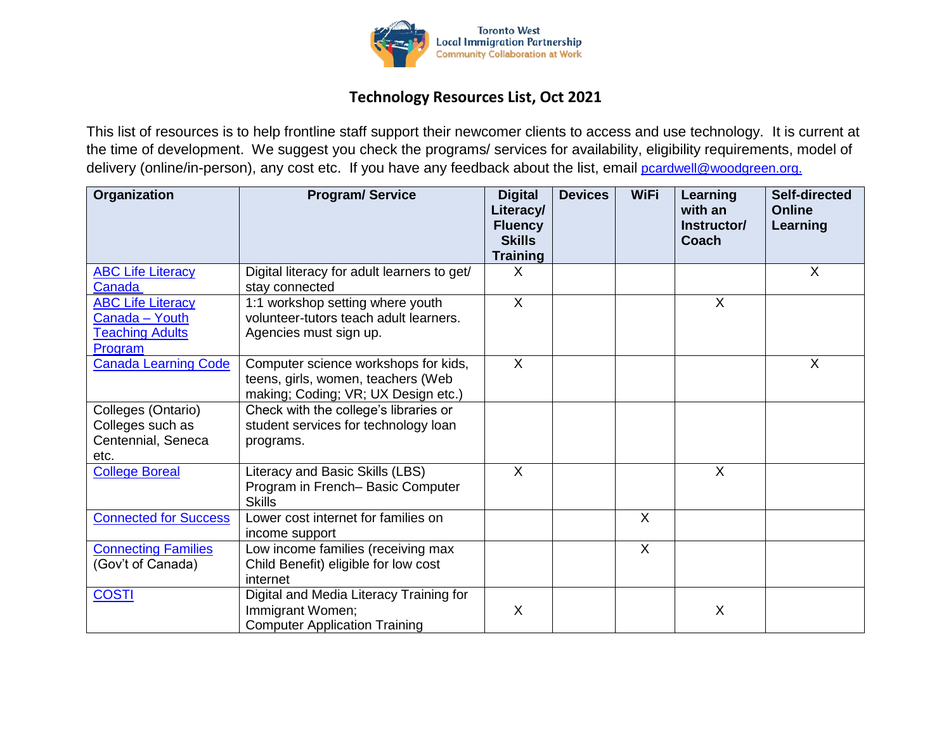

## **Technology Resources List, Oct 2021**

This list of resources is to help frontline staff support their newcomer clients to access and use technology. It is current at the time of development. We suggest you check the programs/ services for availability, eligibility requirements, model of delivery (online/in-person), any cost etc. If you have any feedback about the list, email [pcardwell@woodgreen.org.](mailto:pcardwell@woodgreen.org)

| Organization                       | <b>Program/Service</b>                                        | <b>Digital</b><br>Literacy/<br><b>Fluency</b><br><b>Skills</b> | <b>Devices</b> | <b>WiFi</b> | Learning<br>with an<br>Instructor/<br>Coach | <b>Self-directed</b><br><b>Online</b><br>Learning |
|------------------------------------|---------------------------------------------------------------|----------------------------------------------------------------|----------------|-------------|---------------------------------------------|---------------------------------------------------|
|                                    |                                                               | <b>Training</b>                                                |                |             |                                             |                                                   |
| <b>ABC Life Literacy</b><br>Canada | Digital literacy for adult learners to get/<br>stay connected | X                                                              |                |             |                                             | X                                                 |
| <b>ABC Life Literacy</b>           | 1:1 workshop setting where youth                              | $\sf X$                                                        |                |             | X                                           |                                                   |
| Canada - Youth                     | volunteer-tutors teach adult learners.                        |                                                                |                |             |                                             |                                                   |
| <b>Teaching Adults</b>             | Agencies must sign up.                                        |                                                                |                |             |                                             |                                                   |
| Program                            |                                                               |                                                                |                |             |                                             |                                                   |
| <b>Canada Learning Code</b>        | Computer science workshops for kids,                          | $\sf X$                                                        |                |             |                                             | X                                                 |
|                                    | teens, girls, women, teachers (Web                            |                                                                |                |             |                                             |                                                   |
|                                    | making; Coding; VR; UX Design etc.)                           |                                                                |                |             |                                             |                                                   |
| Colleges (Ontario)                 | Check with the college's libraries or                         |                                                                |                |             |                                             |                                                   |
| Colleges such as                   | student services for technology loan                          |                                                                |                |             |                                             |                                                   |
| Centennial, Seneca                 | programs.                                                     |                                                                |                |             |                                             |                                                   |
| etc.                               |                                                               |                                                                |                |             |                                             |                                                   |
| <b>College Boreal</b>              | Literacy and Basic Skills (LBS)                               | $\sf X$                                                        |                |             | $\mathsf{X}$                                |                                                   |
|                                    | Program in French-Basic Computer                              |                                                                |                |             |                                             |                                                   |
|                                    | <b>Skills</b>                                                 |                                                                |                |             |                                             |                                                   |
| <b>Connected for Success</b>       | Lower cost internet for families on                           |                                                                |                | $\sf X$     |                                             |                                                   |
|                                    | income support                                                |                                                                |                |             |                                             |                                                   |
| <b>Connecting Families</b>         | Low income families (receiving max                            |                                                                |                | $\sf X$     |                                             |                                                   |
| (Gov't of Canada)                  | Child Benefit) eligible for low cost                          |                                                                |                |             |                                             |                                                   |
|                                    | internet                                                      |                                                                |                |             |                                             |                                                   |
| <b>COSTI</b>                       | Digital and Media Literacy Training for                       |                                                                |                |             |                                             |                                                   |
|                                    | Immigrant Women;                                              | X                                                              |                |             | X                                           |                                                   |
|                                    | <b>Computer Application Training</b>                          |                                                                |                |             |                                             |                                                   |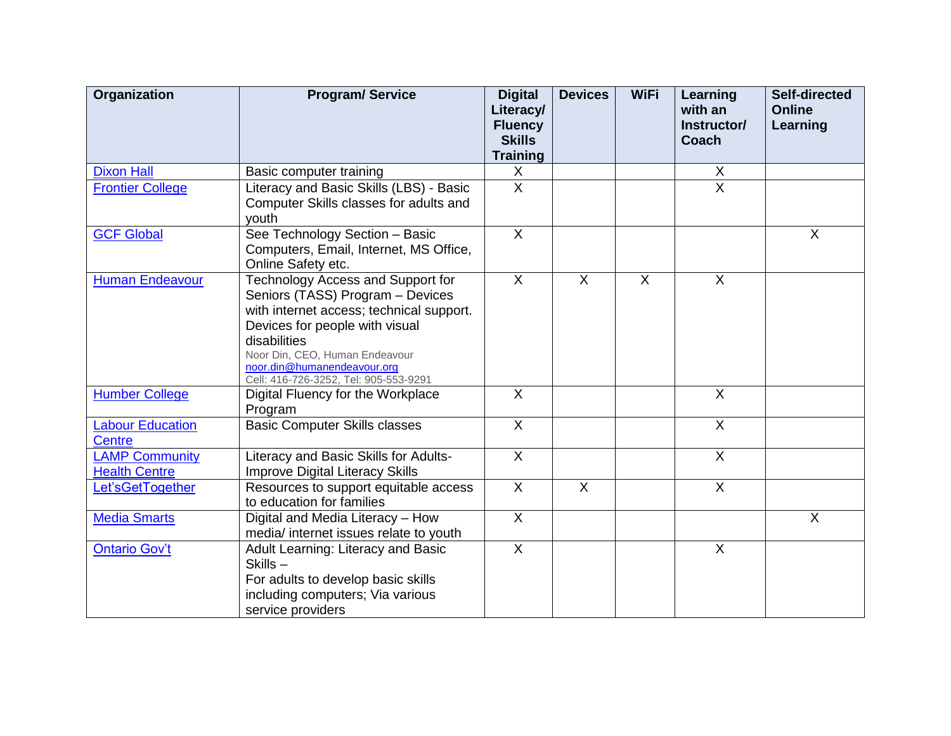| Organization                                  | <b>Program/Service</b>                                                                                                                                                                                                                                                        | <b>Digital</b><br>Literacy/<br><b>Fluency</b> | <b>Devices</b>            | <b>WiFi</b> | Learning<br>with an<br>Instructor/ | <b>Self-directed</b><br><b>Online</b><br>Learning |
|-----------------------------------------------|-------------------------------------------------------------------------------------------------------------------------------------------------------------------------------------------------------------------------------------------------------------------------------|-----------------------------------------------|---------------------------|-------------|------------------------------------|---------------------------------------------------|
|                                               |                                                                                                                                                                                                                                                                               | <b>Skills</b><br><b>Training</b>              |                           |             | Coach                              |                                                   |
| <b>Dixon Hall</b>                             | Basic computer training                                                                                                                                                                                                                                                       | X                                             |                           |             | X                                  |                                                   |
| <b>Frontier College</b>                       | Literacy and Basic Skills (LBS) - Basic<br>Computer Skills classes for adults and<br>youth                                                                                                                                                                                    | $\overline{\mathsf{x}}$                       |                           |             | $\overline{X}$                     |                                                   |
| <b>GCF Global</b>                             | See Technology Section - Basic<br>Computers, Email, Internet, MS Office,<br>Online Safety etc.                                                                                                                                                                                | $\overline{\mathsf{x}}$                       |                           |             |                                    | $\sf X$                                           |
| <b>Human Endeavour</b>                        | Technology Access and Support for<br>Seniors (TASS) Program - Devices<br>with internet access; technical support.<br>Devices for people with visual<br>disabilities<br>Noor Din, CEO, Human Endeavour<br>noor.din@humanendeavour.org<br>Cell: 416-726-3252, Tel: 905-553-9291 | $\sf X$                                       | $\sf X$                   | $\sf X$     | $\sf X$                            |                                                   |
| <b>Humber College</b>                         | Digital Fluency for the Workplace<br>Program                                                                                                                                                                                                                                  | $\overline{X}$                                |                           |             | $\overline{X}$                     |                                                   |
| <b>Labour Education</b><br>Centre             | <b>Basic Computer Skills classes</b>                                                                                                                                                                                                                                          | $\overline{\mathsf{x}}$                       |                           |             | $\overline{X}$                     |                                                   |
| <b>LAMP Community</b><br><b>Health Centre</b> | Literacy and Basic Skills for Adults-<br><b>Improve Digital Literacy Skills</b>                                                                                                                                                                                               | $\sf X$                                       |                           |             | $\mathsf{X}$                       |                                                   |
| Let'sGetTogether                              | Resources to support equitable access<br>to education for families                                                                                                                                                                                                            | X                                             | $\boldsymbol{\mathsf{X}}$ |             | $\boldsymbol{\mathsf{X}}$          |                                                   |
| <b>Media Smarts</b>                           | Digital and Media Literacy - How<br>media/ internet issues relate to youth                                                                                                                                                                                                    | $\overline{X}$                                |                           |             |                                    | $\sf X$                                           |
| <b>Ontario Gov't</b>                          | Adult Learning: Literacy and Basic<br>Skills-<br>For adults to develop basic skills<br>including computers; Via various<br>service providers                                                                                                                                  | $\overline{X}$                                |                           |             | $\sf X$                            |                                                   |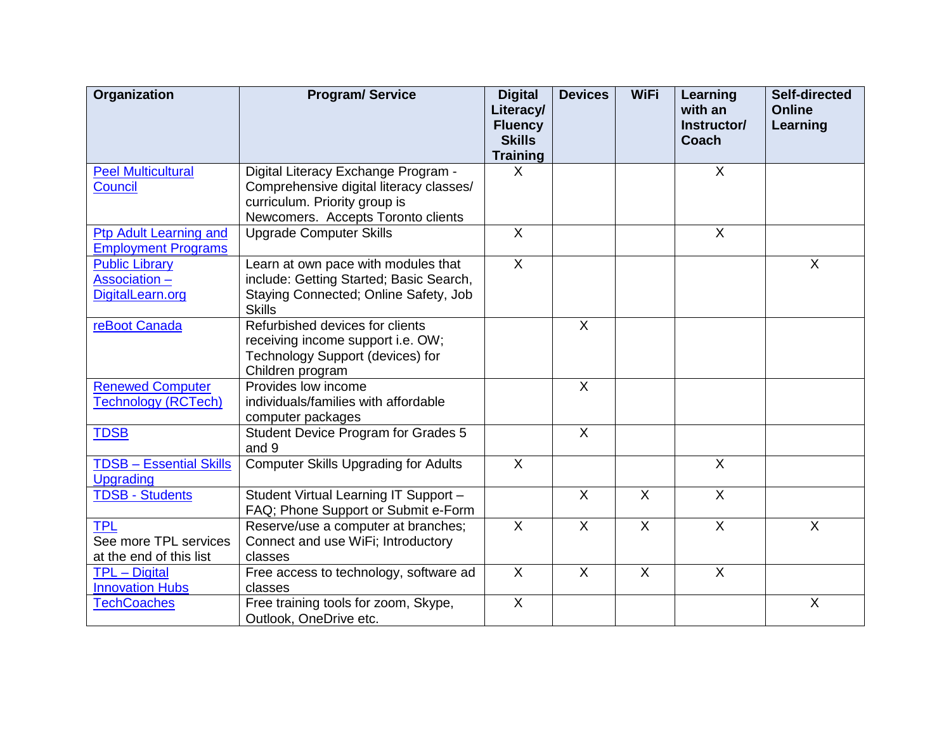| Organization                                                      | <b>Program/Service</b>                                                                                                                                | <b>Digital</b><br>Literacy/<br><b>Fluency</b><br><b>Skills</b> | <b>Devices</b>            | <b>WiFi</b>    | <b>Learning</b><br>with an<br>Instructor/<br>Coach | Self-directed<br><b>Online</b><br>Learning |
|-------------------------------------------------------------------|-------------------------------------------------------------------------------------------------------------------------------------------------------|----------------------------------------------------------------|---------------------------|----------------|----------------------------------------------------|--------------------------------------------|
|                                                                   |                                                                                                                                                       | <b>Training</b>                                                |                           |                |                                                    |                                            |
| <b>Peel Multicultural</b><br><b>Council</b>                       | Digital Literacy Exchange Program -<br>Comprehensive digital literacy classes/<br>curriculum. Priority group is<br>Newcomers. Accepts Toronto clients | X                                                              |                           |                | X                                                  |                                            |
| <b>Ptp Adult Learning and</b><br><b>Employment Programs</b>       | <b>Upgrade Computer Skills</b>                                                                                                                        | $\sf X$                                                        |                           |                | X                                                  |                                            |
| <b>Public Library</b><br><b>Association -</b><br>DigitalLearn.org | Learn at own pace with modules that<br>include: Getting Started; Basic Search,<br>Staying Connected; Online Safety, Job<br><b>Skills</b>              | $\overline{X}$                                                 |                           |                |                                                    | $\sf X$                                    |
| reBoot Canada                                                     | Refurbished devices for clients<br>receiving income support i.e. OW;<br>Technology Support (devices) for<br>Children program                          |                                                                | $\overline{X}$            |                |                                                    |                                            |
| <b>Renewed Computer</b><br><b>Technology (RCTech)</b>             | Provides low income<br>individuals/families with affordable<br>computer packages                                                                      |                                                                | $\sf X$                   |                |                                                    |                                            |
| <b>TDSB</b>                                                       | <b>Student Device Program for Grades 5</b><br>and 9                                                                                                   |                                                                | $\boldsymbol{\mathsf{X}}$ |                |                                                    |                                            |
| <b>TDSB - Essential Skills</b><br>Upgrading                       | <b>Computer Skills Upgrading for Adults</b>                                                                                                           | $\sf X$                                                        |                           |                | $\mathsf{X}$                                       |                                            |
| <b>TDSB - Students</b>                                            | Student Virtual Learning IT Support -<br>FAQ; Phone Support or Submit e-Form                                                                          |                                                                | $\overline{X}$            | $\overline{X}$ | $\overline{X}$                                     |                                            |
| <b>TPL</b><br>See more TPL services<br>at the end of this list    | Reserve/use a computer at branches;<br>Connect and use WiFi; Introductory<br>classes                                                                  | $\mathsf{X}$                                                   | $\sf X$                   | $\overline{X}$ | $\overline{\mathsf{x}}$                            | $\sf X$                                    |
| <b>TPL</b> - Digital<br><b>Innovation Hubs</b>                    | Free access to technology, software ad<br>classes                                                                                                     | $\sf X$                                                        | $\sf X$                   | $\sf X$        | $\overline{X}$                                     |                                            |
| <b>TechCoaches</b>                                                | Free training tools for zoom, Skype,<br>Outlook, OneDrive etc.                                                                                        | $\overline{\mathsf{x}}$                                        |                           |                |                                                    | $\sf X$                                    |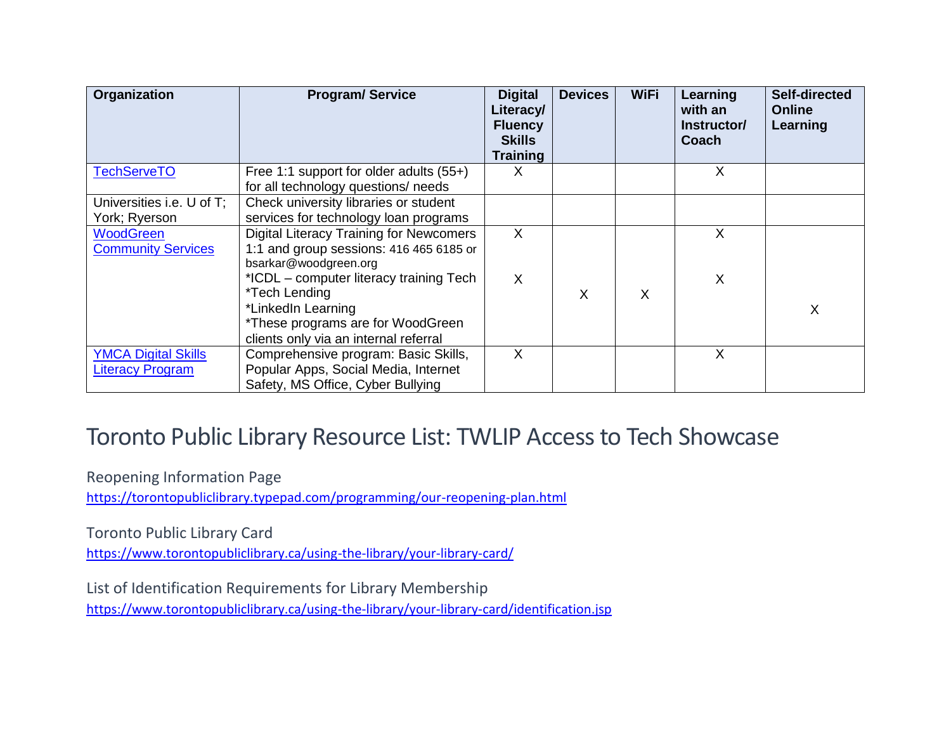| Organization                                          | <b>Program/Service</b>                                                                                                                                       | <b>Digital</b><br>Literacy/<br><b>Fluency</b><br><b>Skills</b><br><b>Training</b> | <b>Devices</b> | <b>WiFi</b> | Learning<br>with an<br>Instructor/<br>Coach | Self-directed<br><b>Online</b><br>Learning |
|-------------------------------------------------------|--------------------------------------------------------------------------------------------------------------------------------------------------------------|-----------------------------------------------------------------------------------|----------------|-------------|---------------------------------------------|--------------------------------------------|
| <b>TechServeTO</b>                                    | Free 1:1 support for older adults $(55+)$<br>for all technology questions/ needs                                                                             | х                                                                                 |                |             | X                                           |                                            |
| Universities i.e. U of T;<br>York; Ryerson            | Check university libraries or student<br>services for technology loan programs                                                                               |                                                                                   |                |             |                                             |                                            |
| <b>WoodGreen</b><br><b>Community Services</b>         | <b>Digital Literacy Training for Newcomers</b><br>1:1 and group sessions: 416 465 6185 or<br>bsarkar@woodgreen.org                                           | X                                                                                 |                |             | X                                           |                                            |
|                                                       | *ICDL – computer literacy training Tech<br>*Tech Lending<br>*LinkedIn Learning<br>*These programs are for WoodGreen<br>clients only via an internal referral | X                                                                                 | X              | X           | X                                           | X                                          |
| <b>YMCA Digital Skills</b><br><b>Literacy Program</b> | Comprehensive program: Basic Skills,<br>Popular Apps, Social Media, Internet<br>Safety, MS Office, Cyber Bullying                                            | X                                                                                 |                |             | X                                           |                                            |

## Toronto Public Library Resource List: TWLIP Access to Tech Showcase

Reopening Information Page

<https://torontopubliclibrary.typepad.com/programming/our-reopening-plan.html>

Toronto Public Library Card

<https://www.torontopubliclibrary.ca/using-the-library/your-library-card/>

List of Identification Requirements for Library Membership <https://www.torontopubliclibrary.ca/using-the-library/your-library-card/identification.jsp>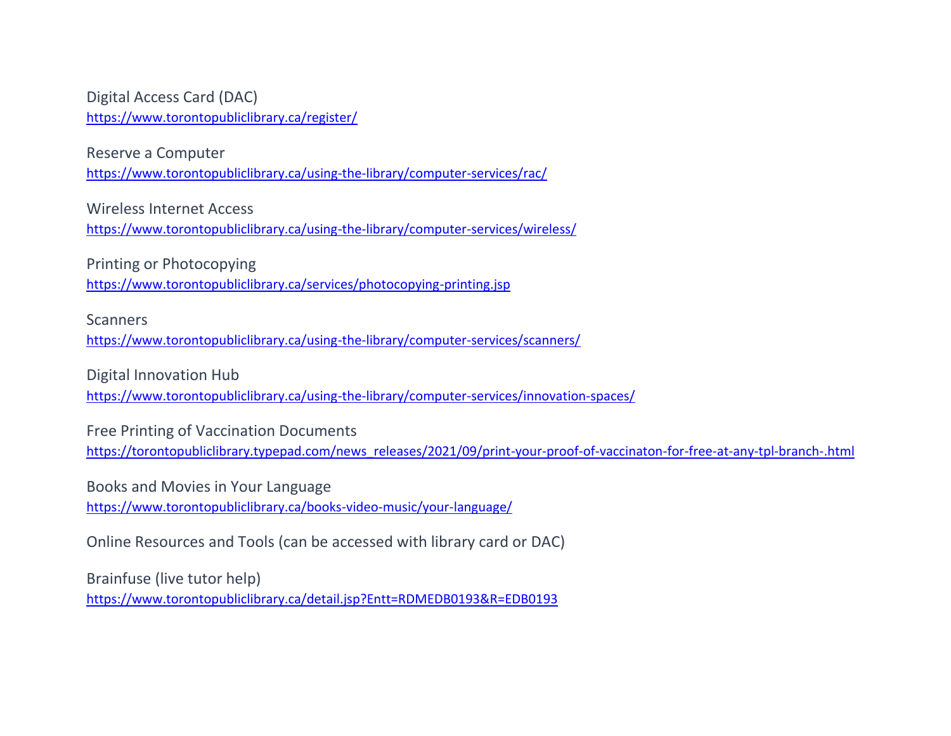Digital Access Card (DAC) <https://www.torontopubliclibrary.ca/register/>

Reserve a Computer <https://www.torontopubliclibrary.ca/using-the-library/computer-services/rac/>

Wireless Internet Access

<https://www.torontopubliclibrary.ca/using-the-library/computer-services/wireless/>

Printing or Photocopying <https://www.torontopubliclibrary.ca/services/photocopying-printing.jsp>

**Scanners** 

<https://www.torontopubliclibrary.ca/using-the-library/computer-services/scanners/>

Digital Innovation Hub <https://www.torontopubliclibrary.ca/using-the-library/computer-services/innovation-spaces/>

Free Printing of Vaccination Documents [https://torontopubliclibrary.typepad.com/news\\_releases/2021/09/print-your-proof-of-vaccinaton-for-free-at-any-tpl-branch-.html](https://torontopubliclibrary.typepad.com/news_releases/2021/09/print-your-proof-of-vaccinaton-for-free-at-any-tpl-branch-.html)

Books and Movies in Your Language <https://www.torontopubliclibrary.ca/books-video-music/your-language/>

Online Resources and Tools (can be accessed with library card or DAC)

Brainfuse (live tutor help) <https://www.torontopubliclibrary.ca/detail.jsp?Entt=RDMEDB0193&R=EDB0193>